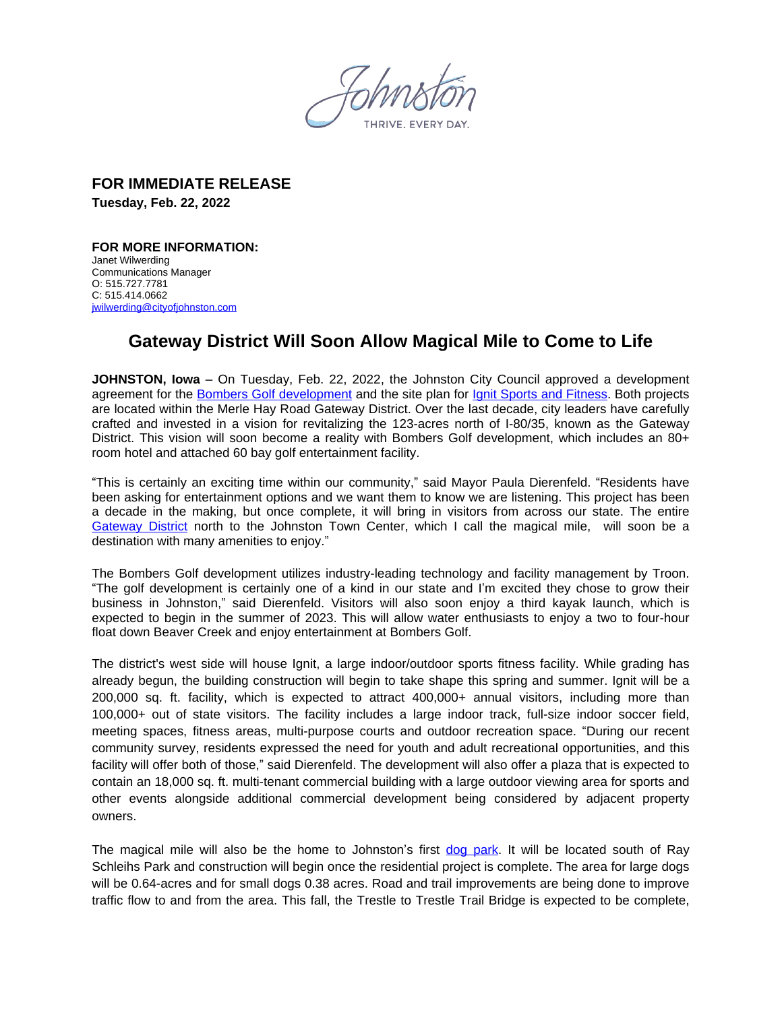**FOR IMMEDIATE RELEASE Tuesday, Feb. 22, 2022**

**FOR MORE INFORMATION:**  Janet Wilwerding Communications Manager O: 515.727.7781 C: 515.414.0662 [jwilwerding@cityofjohnston.com](mailto:jwilwerding@cityofjohnston.com)

## **Gateway District Will Soon Allow Magical Mile to Come to Life**

**JOHNSTON, Iowa** – On Tuesday, Feb. 22, 2022, the Johnston City Council approved a development agreement for the [Bombers Golf development](https://www.cityofjohnston.com/DocumentCenter/View/9028/Bombers-Golf-Site-Plan) and the site plan for [Ignit Sports and Fitness.](https://www.cityofjohnston.com/DocumentCenter/View/9029/Ignit-Sports-and-Fitness) Both projects are located within the Merle Hay Road Gateway District. Over the last decade, city leaders have carefully crafted and invested in a vision for revitalizing the 123-acres north of I-80/35, known as the Gateway District. This vision will soon become a reality with Bombers Golf development, which includes an 80+ room hotel and attached 60 bay golf entertainment facility.

"This is certainly an exciting time within our community," said Mayor Paula Dierenfeld. "Residents have been asking for entertainment options and we want them to know we are listening. This project has been a decade in the making, but once complete, it will bring in visitors from across our state. The entire [Gateway District](https://www.cityofjohnston.com/DocumentCenter/View/9031/Gateway-Activity-Map) north to the Johnston Town Center, which I call the magical mile, will soon be a destination with many amenities to enjoy."

The Bombers Golf development utilizes industry-leading technology and facility management by Troon. "The golf development is certainly one of a kind in our state and I'm excited they chose to grow their business in Johnston," said Dierenfeld. Visitors will also soon enjoy a third kayak launch, which is expected to begin in the summer of 2023. This will allow water enthusiasts to enjoy a two to four-hour float down Beaver Creek and enjoy entertainment at Bombers Golf.

The district's west side will house Ignit, a large indoor/outdoor sports fitness facility. While grading has already begun, the building construction will begin to take shape this spring and summer. Ignit will be a 200,000 sq. ft. facility, which is expected to attract 400,000+ annual visitors, including more than 100,000+ out of state visitors. The facility includes a large indoor track, full-size indoor soccer field, meeting spaces, fitness areas, multi-purpose courts and outdoor recreation space. "During our recent community survey, residents expressed the need for youth and adult recreational opportunities, and this facility will offer both of those," said Dierenfeld. The development will also offer a plaza that is expected to contain an 18,000 sq. ft. multi-tenant commercial building with a large outdoor viewing area for sports and other events alongside additional commercial development being considered by adjacent property owners.

The magical mile will also be the home to Johnston's first [dog park](https://www.cityofjohnston.com/DocumentCenter/View/9027/Dog-park). It will be located south of Ray Schleihs Park and construction will begin once the residential project is complete. The area for large dogs will be 0.64-acres and for small dogs 0.38 acres. Road and trail improvements are being done to improve traffic flow to and from the area. This fall, the Trestle to Trestle Trail Bridge is expected to be complete,